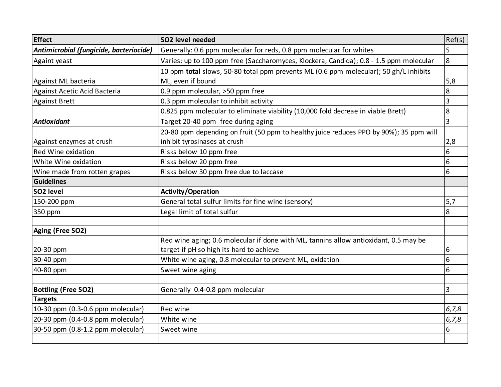| <b>Effect</b>                           | SO2 level needed                                                                       | Ref(s)         |
|-----------------------------------------|----------------------------------------------------------------------------------------|----------------|
| Antimicrobial (fungicide, bacteriocide) | Generally: 0.6 ppm molecular for reds, 0.8 ppm molecular for whites                    | 5              |
| Againt yeast                            | Varies: up to 100 ppm free (Saccharomyces, Klockera, Candida); 0.8 - 1.5 ppm molecular | $\overline{8}$ |
|                                         | 10 ppm total slows, 50-80 total ppm prevents ML (0.6 ppm molecular); 50 gh/L inhibits  |                |
| Against ML bacteria                     | ML, even if bound                                                                      | 5,8            |
| Against Acetic Acid Bacteria            | 0.9 ppm molecular, >50 ppm free                                                        | 8              |
| <b>Against Brett</b>                    | 0.3 ppm molecular to inhibit activity                                                  | 3              |
|                                         | 0.825 ppm molecular to eliminate viability (10,000 fold decreae in viable Brett)       | 8              |
| <b>Antioxidant</b>                      | Target 20-40 ppm free during aging                                                     | $\overline{3}$ |
|                                         | 20-80 ppm depending on fruit (50 ppm to healthy juice reduces PPO by 90%); 35 ppm will |                |
| Against enzymes at crush                | inhibit tyrosinases at crush                                                           | 2,8            |
| Red Wine oxidation                      | Risks below 10 ppm free                                                                | 6              |
| White Wine oxidation                    | Risks below 20 ppm free                                                                | 6              |
| Wine made from rotten grapes            | Risks below 30 ppm free due to laccase                                                 | 6              |
| <b>Guidelines</b>                       |                                                                                        |                |
| SO <sub>2</sub> level                   | <b>Activity/Operation</b>                                                              |                |
| 150-200 ppm                             | General total sulfur limits for fine wine (sensory)                                    | 5,7            |
| 350 ppm                                 | Legal limit of total sulfur                                                            | 8              |
|                                         |                                                                                        |                |
| Aging (Free SO2)                        |                                                                                        |                |
|                                         | Red wine aging; 0.6 molecular if done with ML, tannins allow antioxidant, 0.5 may be   |                |
| 20-30 ppm                               | target if pH so high its hard to achieve                                               | 6              |
| 30-40 ppm                               | White wine aging, 0.8 molecular to prevent ML, oxidation                               | 6              |
| 40-80 ppm                               | Sweet wine aging                                                                       | 6              |
|                                         |                                                                                        |                |
| <b>Bottling (Free SO2)</b>              | Generally 0.4-0.8 ppm molecular                                                        | 3              |
| <b>Targets</b>                          |                                                                                        |                |
| 10-30 ppm (0.3-0.6 ppm molecular)       | Red wine                                                                               | 6, 7, 8        |
| 20-30 ppm (0.4-0.8 ppm molecular)       | White wine                                                                             | 6, 7, 8        |
| 30-50 ppm (0.8-1.2 ppm molecular)       | Sweet wine                                                                             | 6              |
|                                         |                                                                                        |                |